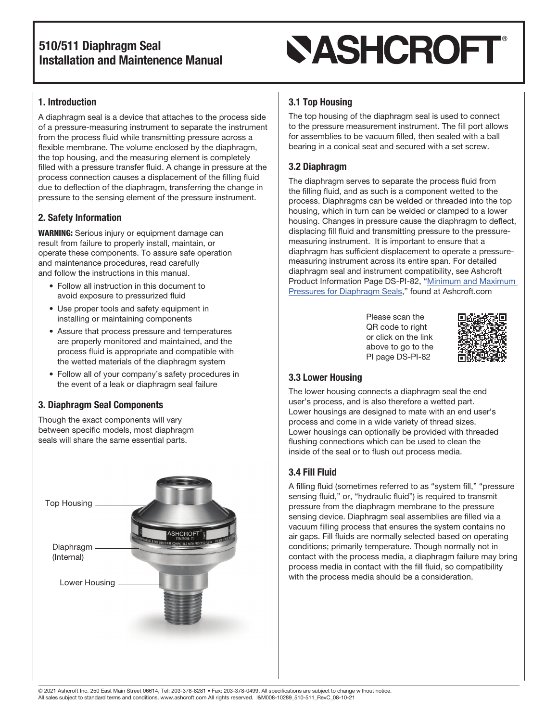# **SASHCROFT®**

## 1. Introduction

A diaphragm seal is a device that attaches to the process side of a pressure-measuring instrument to separate the instrument from the process fluid while transmitting pressure across a flexible membrane. The volume enclosed by the diaphragm, the top housing, and the measuring element is completely filled with a pressure transfer fluid. A change in pressure at the process connection causes a displacement of the filling fluid due to deflection of the diaphragm, transferring the change in pressure to the sensing element of the pressure instrument.

## 2. Safety Information

WARNING: Serious injury or equipment damage can result from failure to properly install, maintain, or operate these components. To assure safe operation and maintenance procedures, read carefully and follow the instructions in this manual.

- Follow all instruction in this document to avoid exposure to pressurized fluid
- Use proper tools and safety equipment in installing or maintaining components
- Assure that process pressure and temperatures are properly monitored and maintained, and the process fluid is appropriate and compatible with the wetted materials of the diaphragm system
- Follow all of your company's safety procedures in the event of a leak or diaphragm seal failure

## 3. Diaphragm Seal Components

Though the exact components will vary between specific models, most diaphragm seals will share the same essential parts.



## 3.1 Top Housing

The top housing of the diaphragm seal is used to connect to the pressure measurement instrument. The fill port allows for assemblies to be vacuum filled, then sealed with a ball bearing in a conical seat and secured with a set screw.

### 3.2 Diaphragm

The diaphragm serves to separate the process fluid from the filling fluid, and as such is a component wetted to the process. Diaphragms can be welded or threaded into the top housing, which in turn can be welded or clamped to a lower housing. Changes in pressure cause the diaphragm to deflect, displacing fill fluid and transmitting pressure to the pressuremeasuring instrument. It is important to ensure that a diaphragm has sufficient displacement to operate a pressuremeasuring instrument across its entire span. For detailed diaphragm seal and instrument compatibility, see Ashcroft Product Information Page DS-PI-82, "[Minimum and Maximum](https://www.ashcroft.com/wp-content/uploads/2020/10/pi-page-minimum-maximum-pressures-diaphragm-seals-pi-82.pdf)  [Pressures for Diaphragm Seals](https://www.ashcroft.com/wp-content/uploads/2020/10/pi-page-minimum-maximum-pressures-diaphragm-seals-pi-82.pdf)," found at Ashcroft.com

> Please scan the QR code to right or click on the link above to go to the PI page DS-PI-82



## 3.3 Lower Housing

The lower housing connects a diaphragm seal the end user's process, and is also therefore a wetted part. Lower housings are designed to mate with an end user's process and come in a wide variety of thread sizes. Lower housings can optionally be provided with threaded flushing connections which can be used to clean the inside of the seal or to flush out process media.

## 3.4 Fill Fluid

A filling fluid (sometimes referred to as "system fill," "pressure sensing fluid," or, "hydraulic fluid") is required to transmit pressure from the diaphragm membrane to the pressure sensing device. Diaphragm seal assemblies are filled via a vacuum filling process that ensures the system contains no air gaps. Fill fluids are normally selected based on operating conditions; primarily temperature. Though normally not in contact with the process media, a diaphragm failure may bring process media in contact with the fill fluid, so compatibility with the process media should be a consideration.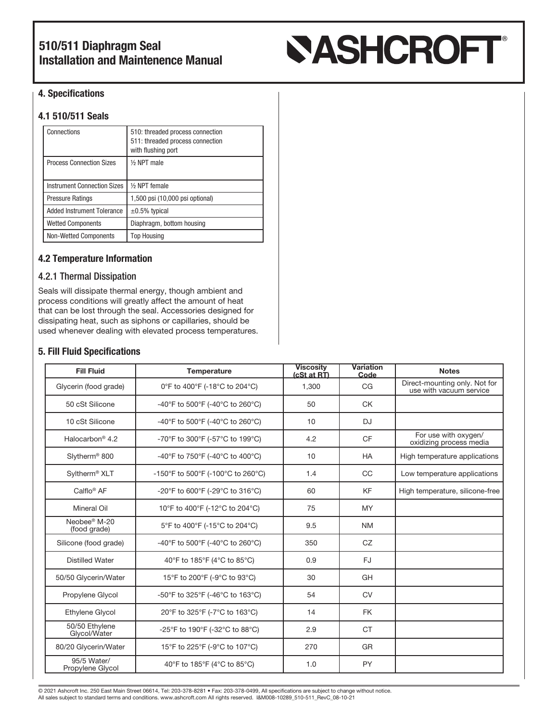# **SASHCROFT®**

### 4. Specifications

### 4.1 510/511 Seals

| Connections                        | 510: threaded process connection<br>511: threaded process connection<br>with flushing port |  |
|------------------------------------|--------------------------------------------------------------------------------------------|--|
| <b>Process Connection Sizes</b>    | 1/ <sub>2</sub> NPT male                                                                   |  |
| <b>Instrument Connection Sizes</b> | 1/2 NPT female                                                                             |  |
| <b>Pressure Ratings</b>            | 1,500 psi (10,000 psi optional)                                                            |  |
| <b>Added Instrument Tolerance</b>  | $\pm 0.5\%$ typical                                                                        |  |
| <b>Wetted Components</b>           | Diaphragm, bottom housing                                                                  |  |
| <b>Non-Wetted Components</b>       | <b>Top Housing</b>                                                                         |  |

#### 4.2 Temperature Information

#### 4.2.1 Thermal Dissipation

Seals will dissipate thermal energy, though ambient and process conditions will greatly affect the amount of heat that can be lost through the seal. Accessories designed for dissipating heat, such as siphons or capillaries, should be used whenever dealing with elevated process temperatures.

#### 5. Fill Fluid Specifications

| <b>Fill Fluid</b>                        | <b>Temperature</b>                | <b>Viscosity</b><br>(cSt at RT) | <b>Variation</b><br>Code | <b>Notes</b>                                             |
|------------------------------------------|-----------------------------------|---------------------------------|--------------------------|----------------------------------------------------------|
| Glycerin (food grade)                    | 0°F to 400°F (-18°C to 204°C)     | 1,300                           | CG                       | Direct-mounting only. Not for<br>use with vacuum service |
| 50 cSt Silicone                          | -40°F to 500°F (-40°C to 260°C)   | 50                              | <b>CK</b>                |                                                          |
| 10 cSt Silicone                          | -40°F to 500°F (-40°C to 260°C)   | 10                              | <b>DJ</b>                |                                                          |
| Halocarbon <sup>®</sup> 4.2              | -70°F to 300°F (-57°C to 199°C)   | 4.2                             | <b>CF</b>                | For use with oxygen/<br>oxidizing process media          |
| Slytherm <sup>®</sup> 800                | -40°F to 750°F (-40°C to 400°C)   | 10                              | <b>HA</b>                | High temperature applications                            |
| Syltherm <sup>®</sup> XLT                | -150°F to 500°F (-100°C to 260°C) | 1.4                             | CC                       | Low temperature applications                             |
| Calflo <sup>®</sup> AF                   | -20°F to 600°F (-29°C to 316°C)   | 60                              | <b>KF</b>                | High temperature, silicone-free                          |
| <b>Mineral Oil</b>                       | 10°F to 400°F (-12°C to 204°C)    | 75                              | <b>MY</b>                |                                                          |
| Neobee <sup>®</sup> M-20<br>(food grade) | 5°F to 400°F (-15°C to 204°C)     | 9.5                             | <b>NM</b>                |                                                          |
| Silicone (food grade)                    | -40°F to 500°F (-40°C to 260°C)   | 350                             | CZ                       |                                                          |
| <b>Distilled Water</b>                   | 40°F to 185°F (4°C to 85°C)       | 0.9                             | <b>FJ</b>                |                                                          |
| 50/50 Glycerin/Water                     | 15°F to 200°F (-9°C to 93°C)      | 30                              | GH                       |                                                          |
| Propylene Glycol                         | -50°F to 325°F (-46°C to 163°C)   | 54                              | CV                       |                                                          |
| <b>Ethylene Glycol</b>                   | 20°F to 325°F (-7°C to 163°C)     | 14                              | <b>FK</b>                |                                                          |
| 50/50 Ethylene<br>Glycol/Water           | -25°F to 190°F (-32°C to 88°C)    | 2.9                             | <b>CT</b>                |                                                          |
| 80/20 Glycerin/Water                     | 15°F to 225°F (-9°C to 107°C)     | 270                             | GR                       |                                                          |
| 95/5 Water/<br>Propylene Glycol          | 40°F to 185°F (4°C to 85°C)       | 1.0                             | PY                       |                                                          |

© 2021 Ashcroft Inc. 250 East Main Street 06614, Tel: 203-378-8281 • Fax: 203-378-0499, All specifications are subject to change without notice. All sales subject to standard terms and conditions. www.ashcroft.com All rights reserved. I&M008-10289\_510-511\_RevC\_08-10-21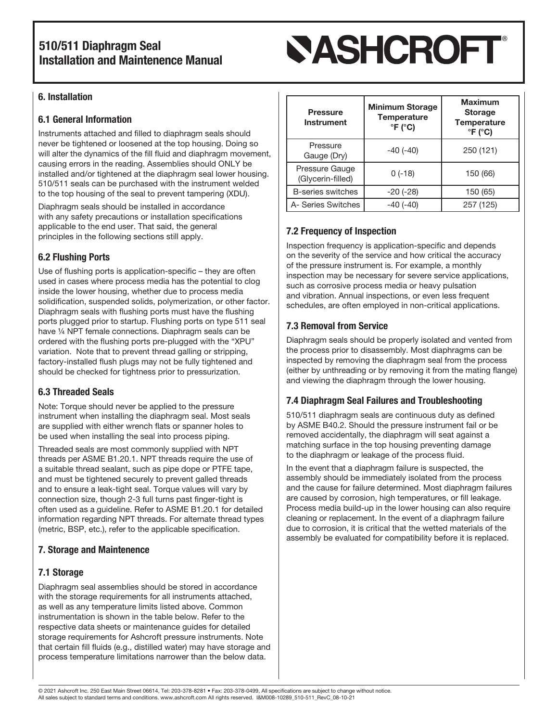# **SASHCROFT**®

## 6. Installation

### 6.1 General Information

Instruments attached and filled to diaphragm seals should never be tightened or loosened at the top housing. Doing so will alter the dynamics of the fill fluid and diaphragm movement, causing errors in the reading. Assemblies should ONLY be installed and/or tightened at the diaphragm seal lower housing. 510/511 seals can be purchased with the instrument welded to the top housing of the seal to prevent tampering (XDU).

Diaphragm seals should be installed in accordance with any safety precautions or installation specifications applicable to the end user. That said, the general principles in the following sections still apply.

## 6.2 Flushing Ports

Use of flushing ports is application-specific – they are often used in cases where process media has the potential to clog inside the lower housing, whether due to process media solidification, suspended solids, polymerization, or other factor. Diaphragm seals with flushing ports must have the flushing ports plugged prior to startup. Flushing ports on type 511 seal have 1/4 NPT female connections. Diaphragm seals can be ordered with the flushing ports pre-plugged with the "XPU" variation. Note that to prevent thread galling or stripping, factory-installed flush plugs may not be fully tightened and should be checked for tightness prior to pressurization.

## 6.3 Threaded Seals

Note: Torque should never be applied to the pressure instrument when installing the diaphragm seal. Most seals are supplied with either wrench flats or spanner holes to be used when installing the seal into process piping.

Threaded seals are most commonly supplied with NPT threads per ASME B1.20.1. NPT threads require the use of a suitable thread sealant, such as pipe dope or PTFE tape, and must be tightened securely to prevent galled threads and to ensure a leak-tight seal. Torque values will vary by connection size, though 2-3 full turns past finger-tight is often used as a guideline. Refer to ASME B1.20.1 for detailed information regarding NPT threads. For alternate thread types (metric, BSP, etc.), refer to the applicable specification.

## 7. Storage and Maintenence

## 7.1 Storage

Diaphragm seal assemblies should be stored in accordance with the storage requirements for all instruments attached, as well as any temperature limits listed above. Common instrumentation is shown in the table below. Refer to the respective data sheets or maintenance guides for detailed storage requirements for Ashcroft pressure instruments. Note that certain fill fluids (e.g., distilled water) may have storage and process temperature limitations narrower than the below data.

| <b>Pressure</b><br><b>Instrument</b> | <b>Minimum Storage</b><br>Temperature<br>$\degree$ F ( $\degree$ C) | <b>Maximum</b><br><b>Storage</b><br><b>Temperature</b><br>$\degree$ F ( $\degree$ C) |
|--------------------------------------|---------------------------------------------------------------------|--------------------------------------------------------------------------------------|
| Pressure<br>Gauge (Dry)              | $-40(-40)$                                                          | 250 (121)                                                                            |
| Pressure Gauge<br>(Glycerin-filled)  | $0(-18)$                                                            | 150 (66)                                                                             |
| <b>B-series switches</b>             | $-20(-28)$                                                          | 150 (65)                                                                             |
| A- Series Switches                   | $-40(-40)$                                                          | 257 (125)                                                                            |

## 7.2 Frequency of Inspection

Inspection frequency is application-specific and depends on the severity of the service and how critical the accuracy of the pressure instrument is. For example, a monthly inspection may be necessary for severe service applications, such as corrosive process media or heavy pulsation and vibration. Annual inspections, or even less frequent schedules, are often employed in non-critical applications.

## 7.3 Removal from Service

Diaphragm seals should be properly isolated and vented from the process prior to disassembly. Most diaphragms can be inspected by removing the diaphragm seal from the process (either by unthreading or by removing it from the mating flange) and viewing the diaphragm through the lower housing.

## 7.4 Diaphragm Seal Failures and Troubleshooting

510/511 diaphragm seals are continuous duty as defined by ASME B40.2. Should the pressure instrument fail or be removed accidentally, the diaphragm will seat against a matching surface in the top housing preventing damage to the diaphragm or leakage of the process fluid.

In the event that a diaphragm failure is suspected, the assembly should be immediately isolated from the process and the cause for failure determined. Most diaphragm failures are caused by corrosion, high temperatures, or fill leakage. Process media build-up in the lower housing can also require cleaning or replacement. In the event of a diaphragm failure due to corrosion, it is critical that the wetted materials of the assembly be evaluated for compatibility before it is replaced.